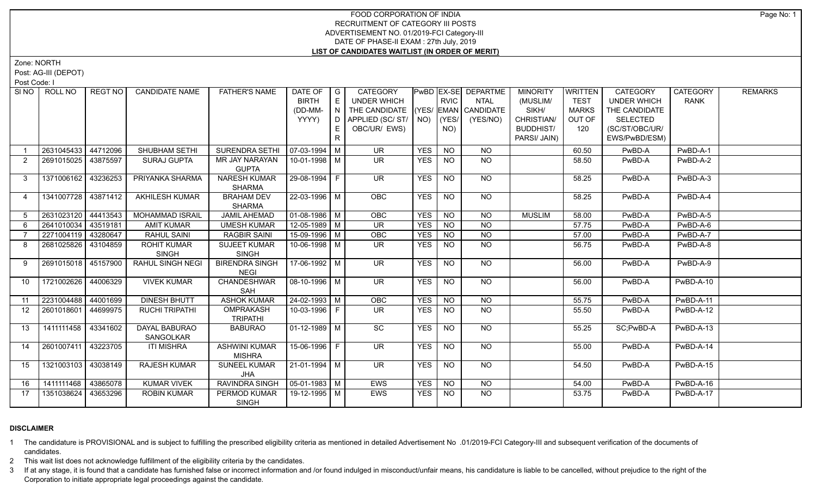## FOOD CORPORATION OF INDIA RECRUITMENT OF CATEGORY III POSTS ADVERTISEMENT NO. 01/2019-FCI Category-III DATE OF PHASE-II EXAM : 27th July, 2019 **LIST OF CANDIDATES WAITLIST (IN ORDER OF MERIT)**

Zone: NORTH

Post: AG-III (DEPOT)

Post Code: I

|    | SINO ROLL NO        | REGT NO  | <b>CANDIDATE NAME</b>      | <b>FATHER'S NAME</b>                 | DATE OF            | $\overline{\phantom{a}}$ G | <b>CATEGORY</b>                    |            |                 | <b>PwBD EX-SE DEPARTME</b> | <b>MINORITY</b>  | <b>WRITTEN</b> | <b>CATEGORY</b>    | <b>CATEGORY</b> | <b>REMARKS</b> |
|----|---------------------|----------|----------------------------|--------------------------------------|--------------------|----------------------------|------------------------------------|------------|-----------------|----------------------------|------------------|----------------|--------------------|-----------------|----------------|
|    |                     |          |                            |                                      | <b>BIRTH</b>       | E                          | UNDER WHICH                        |            | <b>RVIC</b>     | <b>NTAL</b>                | (MUSLIM/         | <b>TEST</b>    | <b>UNDER WHICH</b> | <b>RANK</b>     |                |
|    |                     |          |                            |                                      | (DD-MM-            | N                          | THE CANDIDATE (YES/ EMAN CANDIDATE |            |                 |                            | SIKH/            | <b>MARKS</b>   | THE CANDIDATE      |                 |                |
|    |                     |          |                            |                                      | YYYY)              | $\Box$                     | APPLIED (SC/ST/                    | NO)        | (YES/           | (YES/NO)                   | CHRISTIAN/       | OUT OF         | <b>SELECTED</b>    |                 |                |
|    |                     |          |                            |                                      |                    |                            | OBC/UR/ EWS)                       |            | NO)             |                            | <b>BUDDHIST/</b> | 120            | (SC/ST/OBC/UR/     |                 |                |
|    |                     |          |                            |                                      |                    | $\mathsf{R}$               |                                    |            |                 |                            | PARSI/ JAIN)     |                | EWS/PwBD/ESM)      |                 |                |
|    | 2631045433          | 44712096 | SHUBHAM SETHI              | <b>SURENDRA SETHI</b>                | $07-03-1994$ M     |                            | <b>UR</b>                          | <b>YES</b> | <b>NO</b>       | <b>NO</b>                  |                  | 60.50          | PwBD-A             | PwBD-A-1        |                |
| 2  | 2691015025          | 43875597 | SURAJ GUPTA                | MR JAY NARAYAN                       | 10-01-1998 M       |                            | UR.                                | <b>YES</b> | <b>NO</b>       | $N$ O                      |                  | 58.50          | PwBD-A             | PwBD-A-2        |                |
|    |                     |          |                            | <b>GUPTA</b>                         |                    |                            |                                    |            |                 |                            |                  |                |                    |                 |                |
| 3  | 1371006162          | 43236253 | PRIYANKA SHARMA            | <b>NARESH KUMAR</b>                  | 29-08-1994 F       |                            | <b>UR</b>                          | <b>YES</b> | <b>NO</b>       | <b>NO</b>                  |                  | 58.25          | PwBD-A             | PwBD-A-3        |                |
|    |                     |          |                            | <b>SHARMA</b>                        |                    |                            |                                    |            |                 |                            |                  |                |                    |                 |                |
| 4  | 1341007728 43871412 |          | <b>AKHILESH KUMAR</b>      | <b>BRAHAM DEV</b>                    | $22 - 03 - 1996$ M |                            | OBC                                | <b>YES</b> | $\overline{NQ}$ | <b>NO</b>                  |                  | 58.25          | PwBD-A             | PwBD-A-4        |                |
|    |                     |          |                            | <b>SHARMA</b>                        |                    |                            |                                    |            |                 |                            |                  |                |                    |                 |                |
| 5  | 2631023120          | 44413543 | <b>MOHAMMAD ISRAIL</b>     | <b>JAMIL AHEMAD</b>                  | $01-08-1986$ M     |                            | OBC                                | <b>YES</b> | N <sub>O</sub>  | N <sub>O</sub>             | <b>MUSLIM</b>    | 58.00          | PwBD-A             | PwBD-A-5        |                |
| 6  | 2641010034          | 43519181 | <b>AMIT KUMAR</b>          | <b>UMESH KUMAR</b>                   | $12-05-1989$ M     |                            | <b>UR</b>                          | <b>YES</b> | <b>NO</b>       | $N$ O                      |                  | 57.75          | PwBD-A             | PwBD-A-6        |                |
|    | 2271004119          | 43280647 | RAHUL SAINI                | <b>RAGBIR SAINI</b>                  | 15-09-1996 M       |                            | OBC                                | <b>YES</b> | N <sub>O</sub>  | N <sub>O</sub>             |                  | 57.00          | PwBD-A             | PwBD-A-7        |                |
| 8  | 2681025826          | 43104859 | <b>ROHIT KUMAR</b>         | <b>SUJEET KUMAR</b>                  | 10-06-1998 M       |                            | UR.                                | <b>YES</b> | <b>NO</b>       | NO.                        |                  | 56.75          | PwBD-A             | PwBD-A-8        |                |
|    |                     |          | <b>SINGH</b>               | <b>SINGH</b>                         |                    |                            |                                    |            |                 |                            |                  |                |                    |                 |                |
| 9  | 2691015018 45157900 |          | <b>RAHUL SINGH NEGI</b>    | <b>BIRENDRA SINGH</b><br><b>NEGI</b> | 17-06-1992 M       |                            | $\overline{\mathsf{UR}}$           | <b>YES</b> | N <sub>O</sub>  | NO                         |                  | 56.00          | PwBD-A             | PwBD-A-9        |                |
| 10 | 1721002626          | 44006329 | <b>VIVEK KUMAR</b>         | <b>CHANDESHWAR</b>                   | $08-10-1996$ M     |                            | <b>UR</b>                          | <b>YES</b> | N <sub>O</sub>  | <b>NO</b>                  |                  | 56.00          | PwBD-A             | PwBD-A-10       |                |
|    |                     |          |                            | SAH                                  |                    |                            |                                    |            |                 |                            |                  |                |                    |                 |                |
| 11 | 2231004488          | 44001699 | <b>DINESH BHUTT</b>        | <b>ASHOK KUMAR</b>                   | $24 - 02 - 1993$ M |                            | OBC                                | <b>YES</b> | <b>NO</b>       | <b>NO</b>                  |                  | 55.75          | PwBD-A             | PwBD-A-11       |                |
| 12 | 2601018601          | 44699975 | <b>RUCHI TRIPATHI</b>      | <b>OMPRAKASH</b>                     | 10-03-1996 F       |                            | <b>UR</b>                          | <b>YES</b> | <b>NO</b>       | <b>NO</b>                  |                  | 55.50          | PwBD-A             | PwBD-A-12       |                |
|    |                     |          |                            | <b>TRIPATHI</b>                      |                    |                            |                                    |            |                 |                            |                  |                |                    |                 |                |
| 13 | 1411111458          | 43341602 | DAYAL BABURAO<br>SANGOLKAR | <b>BABURAO</b>                       | 01-12-1989   M     |                            | SC                                 | <b>YES</b> | <b>NO</b>       | NO                         |                  | 55.25          | SC;PwBD-A          | PwBD-A-13       |                |
| 14 | 2601007411          | 43223705 | <b>ITI MISHRA</b>          | <b>ASHWINI KUMAR</b>                 | 15-06-1996 F       |                            | UR.                                | <b>YES</b> | <b>NO</b>       | NO                         |                  | 55.00          | PwBD-A             | PwBD-A-14       |                |
|    |                     |          |                            | <b>MISHRA</b>                        |                    |                            |                                    |            |                 |                            |                  |                |                    |                 |                |
| 15 | 1321003103          | 43038149 | <b>RAJESH KUMAR</b>        | <b>SUNEEL KUMAR</b>                  | 21-01-1994   M     |                            | $\overline{\mathsf{UR}}$           | <b>YES</b> | N <sub>O</sub>  | $N$ O                      |                  | 54.50          | PwBD-A             | PwBD-A-15       |                |
|    |                     |          |                            | <b>JHA</b>                           |                    |                            |                                    |            |                 |                            |                  |                |                    |                 |                |
| 16 | 1411111468          | 43865078 | <b>KUMAR VIVEK</b>         | <b>RAVINDRA SINGH</b>                | $05-01-1983$ M     |                            | EWS                                | <b>YES</b> | NO              | <b>NO</b>                  |                  | 54.00          | PwBD-A             | PwBD-A-16       |                |
| 17 | 1351038624          | 43653296 | <b>ROBIN KUMAR</b>         | PERMOD KUMAR                         | 19-12-1995 M       |                            | <b>EWS</b>                         | <b>YES</b> | <b>NO</b>       | N <sub>O</sub>             |                  | 53.75          | PwBD-A             | PwBD-A-17       |                |
|    |                     |          |                            | <b>SINGH</b>                         |                    |                            |                                    |            |                 |                            |                  |                |                    |                 |                |

## **DISCLAIMER**

1 The candidature is PROVISIONAL and is subject to fulfilling the prescribed eligibility criteria as mentioned in detailed Advertisement No .01/2019-FCI Category-III and subsequent verification of the documents of candidates.

2 This wait list does not acknowledge fulfillment of the eligibility criteria by the candidates.

3 If at any stage, it is found that a candidate has furnished false or incorrect information and /or found indulged in misconduct/unfair means, his candidature is liable to be cancelled, without prejudice to the right of t Corporation to initiate appropriate legal proceedings against the candidate.

Page No: 1